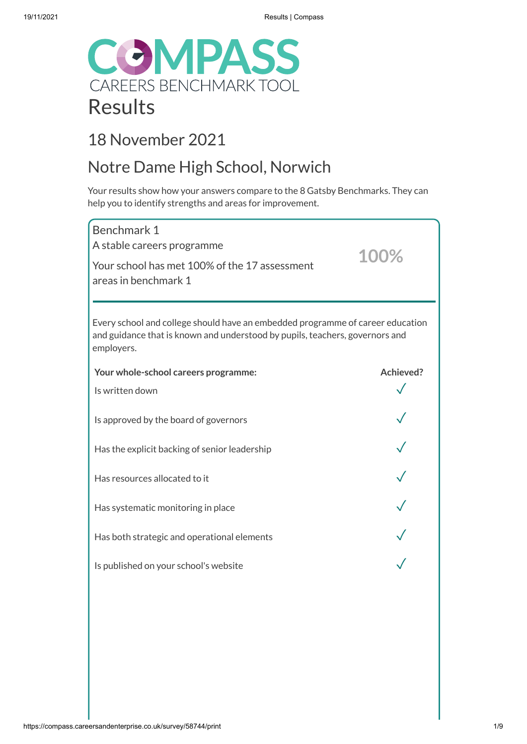

## 18 November 2021

# Notre Dame High School, Norwich

Your results show how your answers compare to the 8 Gatsby Benchmarks. They can help you to identify strengths and areas for improvement.

| Benchmark 1<br>A stable careers programme<br>Your school has met 100% of the 17 assessment<br>areas in benchmark 1                                                           | 100%      |
|------------------------------------------------------------------------------------------------------------------------------------------------------------------------------|-----------|
| Every school and college should have an embedded programme of career education<br>and guidance that is known and understood by pupils, teachers, governors and<br>employers. |           |
| Your whole-school careers programme:                                                                                                                                         | Achieved? |
| Is written down                                                                                                                                                              |           |
| Is approved by the board of governors                                                                                                                                        |           |
| Has the explicit backing of senior leadership                                                                                                                                |           |
| Has resources allocated to it                                                                                                                                                |           |
| Has systematic monitoring in place                                                                                                                                           |           |
| Has both strategic and operational elements                                                                                                                                  |           |
| Is published on your school's website                                                                                                                                        |           |
|                                                                                                                                                                              |           |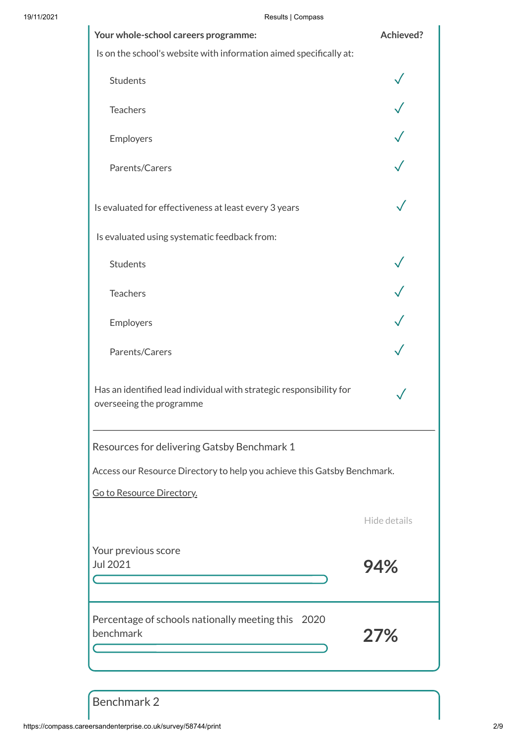| $1.000$ $1.001$<br>Your whole-school careers programme:                                         | <b>Achieved?</b> |  |
|-------------------------------------------------------------------------------------------------|------------------|--|
| Is on the school's website with information aimed specifically at:                              |                  |  |
| <b>Students</b>                                                                                 |                  |  |
| <b>Teachers</b>                                                                                 |                  |  |
| Employers                                                                                       |                  |  |
| Parents/Carers                                                                                  |                  |  |
| Is evaluated for effectiveness at least every 3 years                                           |                  |  |
| Is evaluated using systematic feedback from:                                                    |                  |  |
| <b>Students</b>                                                                                 |                  |  |
| <b>Teachers</b>                                                                                 |                  |  |
| Employers                                                                                       |                  |  |
| Parents/Carers                                                                                  |                  |  |
| Has an identified lead individual with strategic responsibility for<br>overseeing the programme |                  |  |
| Resources for delivering Gatsby Benchmark 1                                                     |                  |  |
| Access our Resource Directory to help you achieve this Gatsby Benchmark.                        |                  |  |
| Go to Resource Directory.                                                                       |                  |  |
|                                                                                                 | Hide details     |  |
| Your previous score<br>Jul 2021                                                                 | 94%              |  |
| Percentage of schools nationally meeting this 2020<br>benchmark                                 | 27%              |  |

Benchmark 2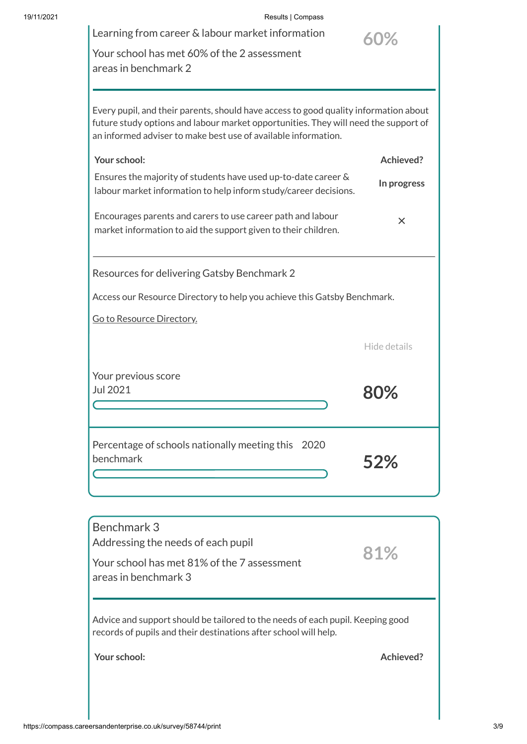### 19/11/2021 Results | Compass

| Learning from career & labour market information                                                                                                                                                                                              | 60%          |
|-----------------------------------------------------------------------------------------------------------------------------------------------------------------------------------------------------------------------------------------------|--------------|
| Your school has met 60% of the 2 assessment                                                                                                                                                                                                   |              |
| areas in benchmark 2                                                                                                                                                                                                                          |              |
|                                                                                                                                                                                                                                               |              |
| Every pupil, and their parents, should have access to good quality information about<br>future study options and labour market opportunities. They will need the support of<br>an informed adviser to make best use of available information. |              |
| Your school:                                                                                                                                                                                                                                  | Achieved?    |
| Ensures the majority of students have used up-to-date career &<br>labour market information to help inform study/career decisions.                                                                                                            | In progress  |
| Encourages parents and carers to use career path and labour<br>market information to aid the support given to their children.                                                                                                                 | X            |
| Resources for delivering Gatsby Benchmark 2                                                                                                                                                                                                   |              |
| Access our Resource Directory to help you achieve this Gatsby Benchmark.                                                                                                                                                                      |              |
| Go to Resource Directory.                                                                                                                                                                                                                     |              |
|                                                                                                                                                                                                                                               | Hide details |
| Your previous score                                                                                                                                                                                                                           |              |
| Jul 2021                                                                                                                                                                                                                                      | 80%          |
|                                                                                                                                                                                                                                               |              |
| Percentage of schools nationally meeting this<br>2020                                                                                                                                                                                         |              |
| benchmark                                                                                                                                                                                                                                     | 52%          |
|                                                                                                                                                                                                                                               |              |
|                                                                                                                                                                                                                                               |              |

Benchmark 3 Addressing the needs of each pupil Your school has met 81% of the 7 assessment areas in benchmark 3 Advice and support should be tailored to the needs of each pupil. Keeping good records of pupils and their destinations after school will help. **Your school: Achieved? 81%**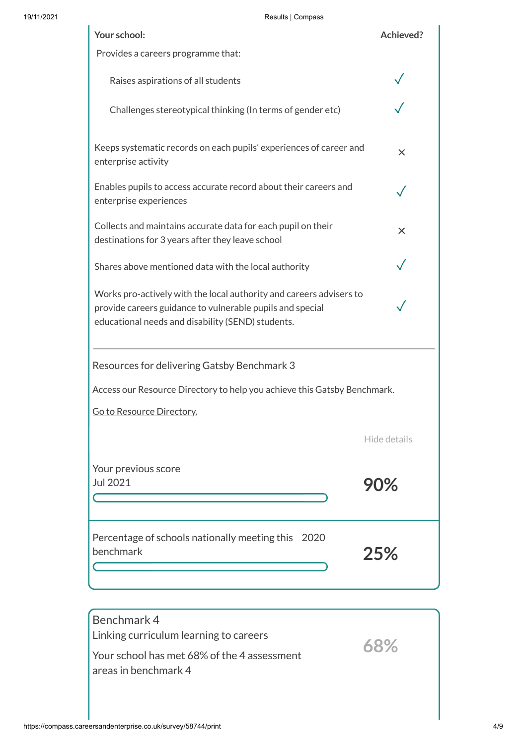| 19/11/2021 | Results   Compass                                                                                                                                                                     |              |
|------------|---------------------------------------------------------------------------------------------------------------------------------------------------------------------------------------|--------------|
|            | Your school:                                                                                                                                                                          | Achieved?    |
|            | Provides a careers programme that:                                                                                                                                                    |              |
|            | Raises aspirations of all students                                                                                                                                                    |              |
|            | Challenges stereotypical thinking (In terms of gender etc)                                                                                                                            |              |
|            | Keeps systematic records on each pupils' experiences of career and<br>enterprise activity                                                                                             | $\times$     |
|            | Enables pupils to access accurate record about their careers and<br>enterprise experiences                                                                                            |              |
|            | Collects and maintains accurate data for each pupil on their<br>destinations for 3 years after they leave school                                                                      | $\times$     |
|            | Shares above mentioned data with the local authority                                                                                                                                  |              |
|            | Works pro-actively with the local authority and careers advisers to<br>provide careers guidance to vulnerable pupils and special<br>educational needs and disability (SEND) students. |              |
|            | Resources for delivering Gatsby Benchmark 3                                                                                                                                           |              |
|            | Access our Resource Directory to help you achieve this Gatsby Benchmark.                                                                                                              |              |
|            | Go to Resource Directory.                                                                                                                                                             |              |
|            |                                                                                                                                                                                       | Hide details |
|            | Your previous score<br>Jul 2021                                                                                                                                                       | 90%          |
|            | Percentage of schools nationally meeting this 2020<br>benchmark                                                                                                                       | 25%          |

| Benchmark 4<br>Linking curriculum learning to careers                 |     |
|-----------------------------------------------------------------------|-----|
| l Your school has met 68% of the 4 assessment<br>areas in benchmark 4 | 68% |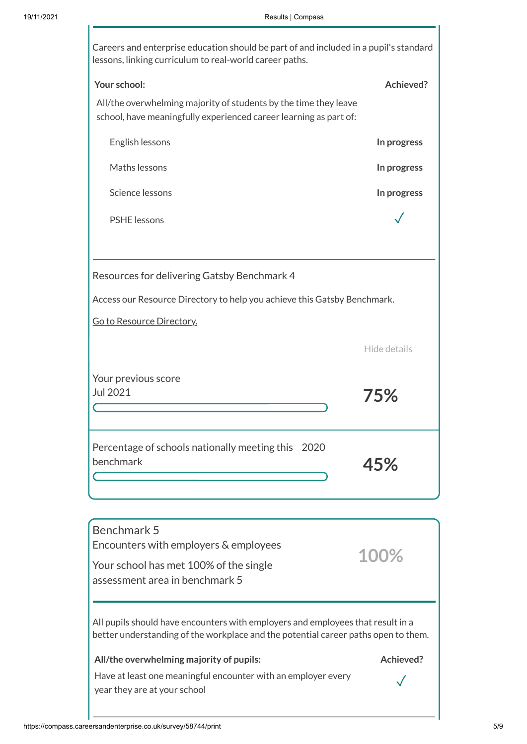| Careers and enterprise education should be part of and included in a pupil's standard<br>lessons, linking curriculum to real-world career paths. |              |  |
|--------------------------------------------------------------------------------------------------------------------------------------------------|--------------|--|
| Your school:                                                                                                                                     | Achieved?    |  |
| All/the overwhelming majority of students by the time they leave<br>school, have meaningfully experienced career learning as part of:            |              |  |
| English lessons                                                                                                                                  | In progress  |  |
| Maths lessons                                                                                                                                    | In progress  |  |
| Science lessons                                                                                                                                  | In progress  |  |
| <b>PSHE</b> lessons                                                                                                                              |              |  |
|                                                                                                                                                  |              |  |
| Resources for delivering Gatsby Benchmark 4                                                                                                      |              |  |
| Access our Resource Directory to help you achieve this Gatsby Benchmark.                                                                         |              |  |
| Go to Resource Directory.                                                                                                                        |              |  |
|                                                                                                                                                  | Hide details |  |
| Your previous score                                                                                                                              |              |  |
| Jul 2021                                                                                                                                         | 75%          |  |
|                                                                                                                                                  |              |  |
| Percentage of schools nationally meeting this 2020<br>benchmark                                                                                  | 45%          |  |
|                                                                                                                                                  |              |  |
|                                                                                                                                                  |              |  |
| Benchmark 5                                                                                                                                      |              |  |
| Encounters with employers & employees                                                                                                            | 100%         |  |
| Your school has met 100% of the single<br>assessment area in benchmark 5                                                                         |              |  |
| All pupils should have encounters with employers and employees that result in a                                                                  |              |  |

better understanding of the workplace and the potential career paths open to them.

### **All/the overwhelming majority of pupils: Achieved?**

✓

Have at least one meaningful encounter with an employer every year they are at your school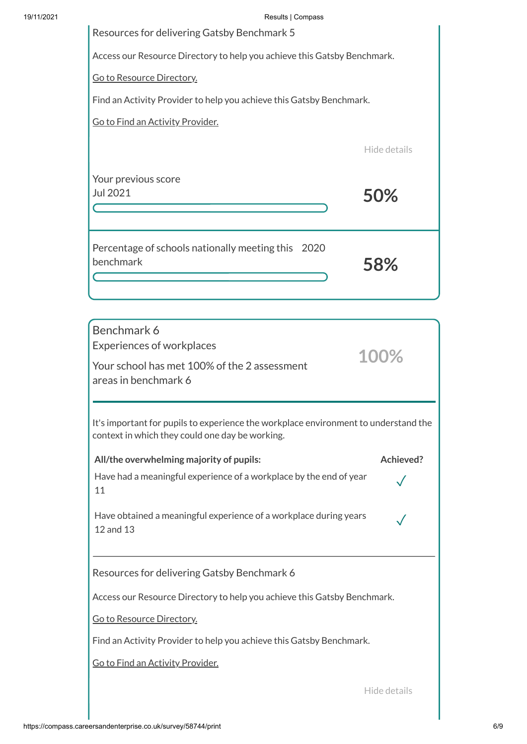| 19/11/2021 | Results   Compass                                                        |
|------------|--------------------------------------------------------------------------|
|            | Resources for delivering Gatsby Benchmark 5                              |
|            | Access our Resource Directory to help you achieve this Gatsby Benchmark. |
|            | Go to Resource Directory.                                                |
|            | Find an Activity Provider to help you achieve this Gatsby Benchmark.     |

Go to Find an Activity [Provider.](https://find-activity-provider.careersandenterprise.co.uk/search)

Hide details

Your previous score Jul 2021 **50%** Percentage of schools nationally meeting this 2020 **58%** benchmark  $\overline{\mathsf{C}}$ 

| Benchmark 6<br><b>Experiences of workplaces</b><br>Your school has met 100% of the 2 assessment<br>areas in benchmark 6                |           |  |
|----------------------------------------------------------------------------------------------------------------------------------------|-----------|--|
| It's important for pupils to experience the workplace environment to understand the<br>context in which they could one day be working. |           |  |
| All/the overwhelming majority of pupils:                                                                                               | Achieved? |  |
| Have had a meaningful experience of a workplace by the end of year<br>11                                                               |           |  |
| Have obtained a meaningful experience of a workplace during years<br>12 and 13                                                         |           |  |
| Resources for delivering Gatsby Benchmark 6                                                                                            |           |  |
| Access our Resource Directory to help you achieve this Gatsby Benchmark.                                                               |           |  |
| Go to Resource Directory.                                                                                                              |           |  |
| Find an Activity Provider to help you achieve this Gatsby Benchmark.                                                                   |           |  |
| Go to Find an Activity Provider.                                                                                                       |           |  |

Hide details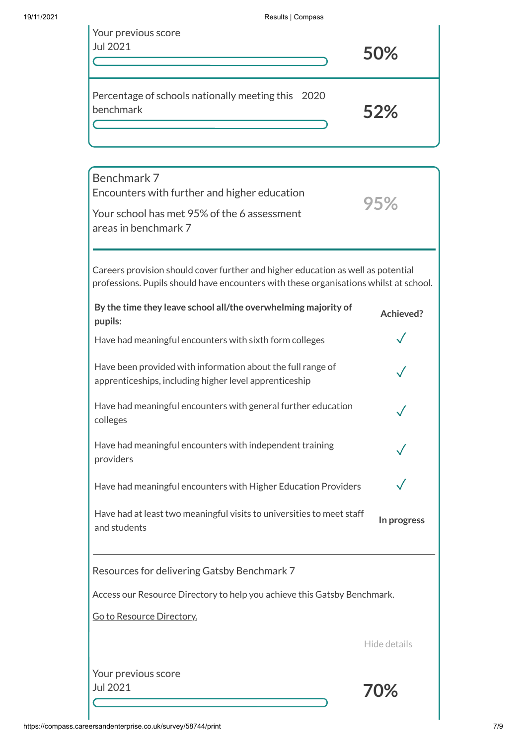| Your previous score<br>Jul 2021                                 | 50% |
|-----------------------------------------------------------------|-----|
| Percentage of schools nationally meeting this 2020<br>benchmark | 52% |

| Benchmark 7<br>Encounters with further and higher education                                                                                                               |              |  |
|---------------------------------------------------------------------------------------------------------------------------------------------------------------------------|--------------|--|
| Your school has met 95% of the 6 assessment<br>areas in benchmark 7                                                                                                       | 95%          |  |
|                                                                                                                                                                           |              |  |
| Careers provision should cover further and higher education as well as potential<br>professions. Pupils should have encounters with these organisations whilst at school. |              |  |
| By the time they leave school all/the overwhelming majority of<br>pupils:                                                                                                 | Achieved?    |  |
| Have had meaningful encounters with sixth form colleges                                                                                                                   |              |  |
| Have been provided with information about the full range of<br>apprenticeships, including higher level apprenticeship                                                     |              |  |
| Have had meaningful encounters with general further education<br>colleges                                                                                                 |              |  |
| Have had meaningful encounters with independent training<br>providers                                                                                                     |              |  |
| Have had meaningful encounters with Higher Education Providers                                                                                                            |              |  |
| Have had at least two meaningful visits to universities to meet staff<br>and students                                                                                     | In progress  |  |
| Resources for delivering Gatsby Benchmark 7                                                                                                                               |              |  |
| Access our Resource Directory to help you achieve this Gatsby Benchmark.                                                                                                  |              |  |
| Go to Resource Directory.                                                                                                                                                 |              |  |
|                                                                                                                                                                           | Hide details |  |
| Your previous score<br>Jul 2021                                                                                                                                           | 70%          |  |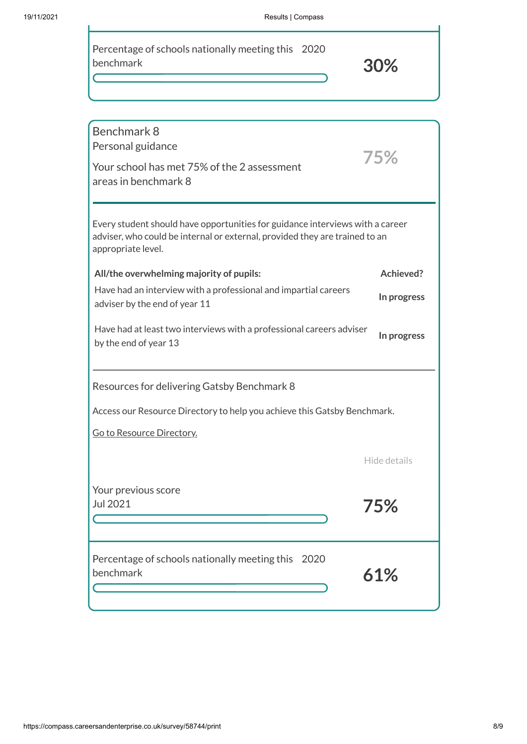| Percentage of schools nationally meeting this 2020 |  |
|----------------------------------------------------|--|
| benchmark                                          |  |

**30%**

| Benchmark 8<br>Personal guidance<br>Your school has met 75% of the 2 assessment<br>areas in benchmark 8                                                                            | 75%          |  |
|------------------------------------------------------------------------------------------------------------------------------------------------------------------------------------|--------------|--|
| Every student should have opportunities for guidance interviews with a career<br>adviser, who could be internal or external, provided they are trained to an<br>appropriate level. |              |  |
| All/the overwhelming majority of pupils:                                                                                                                                           | Achieved?    |  |
| Have had an interview with a professional and impartial careers<br>adviser by the end of year 11                                                                                   | In progress  |  |
| Have had at least two interviews with a professional careers adviser<br>by the end of year 13                                                                                      | In progress  |  |
| Resources for delivering Gatsby Benchmark 8                                                                                                                                        |              |  |
| Access our Resource Directory to help you achieve this Gatsby Benchmark.                                                                                                           |              |  |
| Go to Resource Directory.                                                                                                                                                          |              |  |
|                                                                                                                                                                                    | Hide details |  |
| Your previous score<br>Jul 2021                                                                                                                                                    | $5\%$        |  |
| Percentage of schools nationally meeting this 2020<br>benchmark                                                                                                                    | 61%          |  |